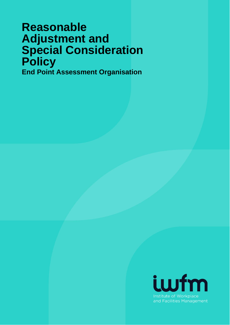# **Reasonable Adjustment and Special Consideration Policy End Point Assessment Organisation**

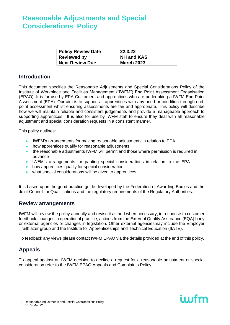| <b>Policy Review Date</b> | 22.3.22           |
|---------------------------|-------------------|
| <b>Reviewed by</b>        | <b>NH and KAS</b> |
| <b>Next Review Due</b>    | <b>March 2023</b> |

### **Introduction**

This document specifies the Reasonable Adjustments and Special Considerations Policy of the Institute of Workplace and Facilities Management ("IWFM") End Point Assessment Organisation (EPAO). It is for use by EPA Customers and apprentices who are undertaking a IWFM End-Point Assessment (EPA). Our aim is to support all apprentices with any need or condition through endpoint assessment whilst ensuring assessments are fair and appropriate. This policy will describe how we will maintain reliable and consistent judgements and provide a manageable approach to supporting apprentices. It is also for use by IWFM staff to ensure they deal with all reasonable adjustment and special consideration requests in a consistent manner.

This policy outlines:

- IWFM's arrangements for making reasonable adjustments in relation to EPA
- how apprentices qualify for reasonable adjustments
- the reasonable adjustments IWFM will permit and those where permission is required in advance
- IWFM's arrangements for granting special considerations in relation to the EPA
- how apprentices qualify for special consideration.
- what special considerations will be given to apprentices

It is based upon the good practice guide developed by the Federation of Awarding Bodies and the Joint Council for Qualifications and the regulatory requirements of the Regulatory Authorities.

### **Review arrangements**

IWFM will review the policy annually and revise it as and when necessary, in response to customer feedback, changes in operational practice, actions from the External Quality Assurance (EQA) body or external agencies or changes in legislation. Other external agenciesmay include the Employer Trailblazer group and the Institute for Apprenticeships and Technical Education (IfATE).

To feedback any views please contact IWFM EPAO via the details provided at the end of this policy.

### **Appeals**

To appeal against an IWFM decision to decline a request for a reasonable adjustment or special consideration refer to the IWFM EPAO Appeals and Complaints Policy.

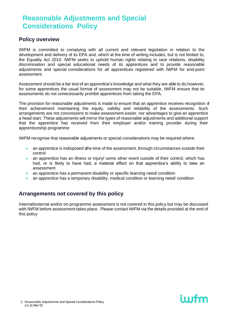### **Policy overview**

IWFM is committed to complying with all current and relevant legislation in relation to the development and delivery of its EPA and, which at the time of writing includes, but is not limited to, the Equality Act 2010. IWFM seeks to uphold human rights relating to race relations, disability discrimination and special educational needs of its apprentices and to provide reasonable adjustments and special considerations for all apprentices registered with IWFM for end-point assessment.

Assessment should be a fair test of an apprentice's knowledge and what they are able to do,however, for some apprentices the usual format of assessment may not be suitable. IWFM ensure that its assessments do not unnecessarily prohibit apprentices from taking the EPA.

The provision for reasonable adjustments is made to ensure that an apprentice receives recognition of their achievement maintaining the equity, validity and reliability of the assessments. Such arrangements are not concessions to make assessment easier, nor advantages to give an apprentice a head start. These adjustments will mirror the types of reasonable adjustments and additional support that the apprentice has received from their employer and/or training provider during their apprenticeship programme

IWFM recognise that reasonable adjustments or special considerations may be required where:

- an apprentice is indisposed athe time of the assessment, through circumstances outside their control
- an apprentice has an illness or injury/ some other event outside of their control, which has had, or is likely to have had, a material effect on that apprentice's ability to take an assessment
- an apprentice has a permanent disability or specific learning need/ condition
- an apprentice has a temporary disability, medical condition or learning need/ condition

### **Arrangements not covered by this policy**

Internal/external and/or on-programme assessment is not covered in this policy but may be discussed with IWFM before assessment takes place. Please contact IWFM via the details provided at the end of this policy

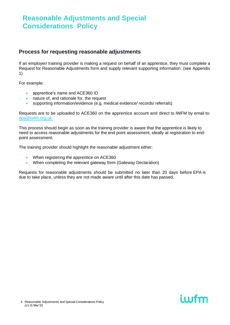### **Process for requesting reasonable adjustments**

If an employer/ training provider is making a request on behalf of an apprentice, they must complete a Request for Reasonable Adjustments form and supply relevant supporting information. (see Appendix 1)

For example:

- apprentice's name and ACE360 ID
- nature of, and rationale for, the request
- supporting information/evidence (e.g. medical evidence/ records/ referrals)

Requests are to be uploaded to ACE360 on the apprentice account and direct to IWFM by email to: [epa@iwfm.org.uk](mailto:epa@iwfm.org.uk)

This process should begin as soon as the training provider is aware that the apprentice is likely to need to access reasonable adjustments for the end point assessment, ideally at registration to endpoint assessment.

The training provider should highlight the reasonable adjustment either:

- When registering the apprentice on ACE360
- When completing the relevant gateway form (Gateway Declaration)

Requests for reasonable adjustments should be submitted no later than 20 days before EPA is due to take place, unless they are not made aware until after this date has passed.

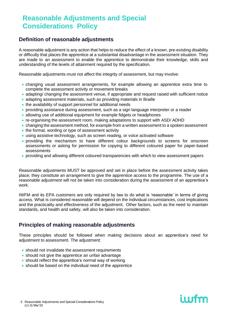### **Definition of reasonable adjustments**

A reasonable adjustment is any action that helps to reduce the effect of a known, pre-existing disability or difficulty that places the apprentice at a substantial disadvantage in the assessment situation. They are made to an assessment to enable the apprentice to demonstrate their knowledge, skills and understanding of the levels of attainment required by the specification.

Reasonable adjustments must not affect the integrity of assessment, but may involve:

- changing usual assessment arrangements, for example allowing an apprentice extra time to complete the assessment activity or movement breaks
- adapting/ changing the assessment venue, if appropriate and request raised with sufficient notice
- adapting assessment materials, such as providing materials in Braille
- the availability of support personnel for additional needs
- providing assistance during assessment, such as a sign language interpreter or a reader
- allowing use of additional equipment for example fidgets or headphones
- re-organising the assessment room, making adaptations to support with ASD/ ADHD
- changing the assessment method, for example from a written assessment to a spoken assessment
- the format, wording or type of assessment activity
- using assistive technology, such as screen reading, or voice activated software
- providing the mechanism to have different colour backgrounds to screens for onscreen assessments or asking for permission for copying to different coloured paper for paper-based assessments
- providing and allowing different coloured transparencies with which to view assessment papers

Reasonable adjustments MUST be approved and set in place before the assessment activity takes place; they constitute an arrangement to give the apprentice access to the programme. The use of a reasonable adjustment will not be taken into consideration during the assessment of an apprentice's work.

IWFM and its EPA customers are only required by law to do what is 'reasonable' in terms of giving access. What is considered reasonable will depend on the individual circumstances, cost implications and the practicality and effectiveness of the adjustment. Other factors, such as the need to maintain standards, and health and safety, will also be taken into consideration.

### **Principles of making reasonable adjustments**

These principles should be followed when making decisions about an apprentice's need for adjustment to assessment. The adjustment:

- should not invalidate the assessment requirements
- should not give the apprentice an unfair advantage
- should reflect the apprentice's normal way of working
- should be based on the individual need of the apprentice

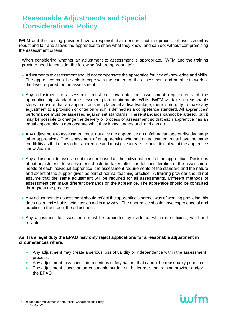IWFM and the training provider have a responsibility to ensure that the process of assessment is robust and fair and allows the apprentice to show what they know, and can do, without compromising the assessment criteria.

When considering whether an adjustment to assessment is appropriate, IWFM and the training provider need to consider the following (where appropriate):

- Adjustments to assessment should not compensate the apprentice for lack of knowledge and skills. The apprentice must be able to cope with the content of the assessment and be able to work at the level required for the assessment.
- Any adjustment to assessment must not invalidate the assessment requirements of the apprenticeship standard or assessment plan requirements. Whilst IWFM will take all reasonable steps to ensure that an apprentice is not placed at a disadvantage, there is no duty to make any adjustment to a provision or criterion which is defined as a competence standard. All apprentices' performance must be assessed against set standards. These standards cannot be altered, but it may be possible to change the delivery or process of assessment so that each apprentice has an equal opportunity to demonstrate what they know, understand, and can do.
- Any adjustment to assessment must not give the apprentice an unfair advantage or disadvantage other apprentices. The assessment of an apprentice who had an adjustment must have the same credibility as that of any other apprentice and must give a realistic indication of what the apprentice knows/can do.
- Any adjustment to assessment must be based on the individual need of the apprentice. Decisions about adjustments to assessment should be taken after careful consideration of the assessment needs of each individual apprentice, the assessment requirements of the standard and the nature and extent of the support given as part of normal teaching practice. A training provider should not assume that the same adjustment will be required for all assessments. Different methods of assessment can make different demands on the apprentice. The apprentice should be consulted throughout the process.
- Any adjustment to assessment should reflect the apprentice's normal way of working providing this does not affect what is being assessed in any way. The apprentice should have experience of and practice in the use of the adjustment.
- Any adjustment to assessment must be supported by evidence which is sufficient, valid and reliable.

#### **As it is a legal duty the EPAO may only reject applications for a reasonable adjustment in circumstances where:**

- Any adjustment may create a serious loss of validity or independence within the assessment process.
- Any adjustment may constitute a serious safety hazard that cannot be reasonably permitted
- The adjustment places an unreasonable burden on the learner, the training provider and/or the EPAO

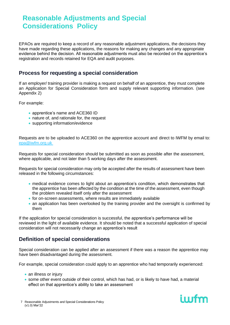EPAOs are required to keep a record of any reasonable adjustment applications, the decisions they have made regarding these applications, the reasons for making any changes and any appropriate evidence behind the decision. All reasonable adjustments must also be recorded on the apprentice's registration and records retained for EQA and audit purposes.

### **Process for requesting a special consideration**

If an employer/ training provider is making a request on behalf of an apprentice, they must complete an Application for Special Consideration form and supply relevant supporting information. (see Appendix 2)

For example:

- apprentice's name and ACE360 ID
- nature of, and rationale for, the request
- supporting information/evidence

Requests are to be uploaded to ACE360 on the apprentice account and direct to IWFM by email to: [epa@iwfm.org.uk](mailto:epa@iwfm.org.uk)

Requests for special consideration should be submitted as soon as possible after the assessment, where applicable, and not later than 5 working days after the assessment.

Requests for special consideration may only be accepted after the results of assessment have been released in the following circumstances:

- medical evidence comes to light about an apprentice's condition, which demonstrates that the apprentice has been affected by the condition at the time of the assessment, even though the problem revealed itself only after the assessment
- for on-screen assessments, where results are immediately available
- an application has been overlooked by the training provider and the oversight is confirmed by them

If the application for special consideration is successful, the apprentice's performance will be reviewed in the light of available evidence. It should be noted that a successful application of special consideration will not necessarily change an apprentice's result

### **Definition of special considerations**

Special consideration can be applied after an assessment if there was a reason the apprentice may have been disadvantaged during the assessment.

For example, special consideration could apply to an apprentice who had temporarily experienced:

- an illness or injury
- some other event outside of their control, which has had, or is likely to have had, a material effect on that apprentice's ability to take an assessment

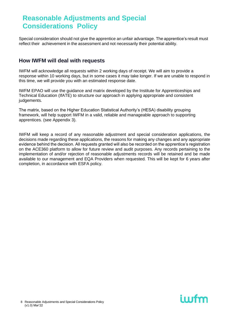Special consideration should not give the apprentice an unfair advantage. The apprentice's result must reflect their achievement in the assessment and not necessarily their potential ability.

### **How IWFM will deal with requests**

IWFM will acknowledge all requests within 2 working days of receipt. We will aim to provide a response within 10 working days, but in some cases it may take longer. If we are unable to respond in this time, we will provide you with an estimated response date.

IWFM EPAO will use the guidance and matrix developed by the Institute for Apprenticeships and Technical Education (IfATE) to structure our approach in applying appropriate and consistent judgements.

The matrix, based on the Higher Education Statistical Authority's (HESA) disability grouping framework, will help support IWFM in a valid, reliable and manageable approach to supporting apprentices. (see Appendix 3).

IWFM will keep a record of any reasonable adjustment and special consideration applications, the decisions made regarding these applications, the reasons for making any changes and any appropriate evidence behind the decision. All requests granted will also be recorded on the apprentice's registration on the ACE360 platform to allow for future review and audit purposes. Any records pertaining to the implementation of and/or rejection of reasonable adjustments records will be retained and be made available to our management and EQA Providers when requested. This will be kept for 6 years after completion, in accordance with ESFA policy.

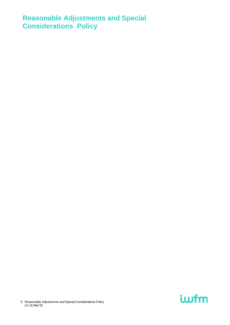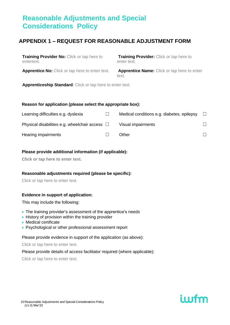## **APPENDIX 1 – REQUEST FOR REASONABLE ADJUSTMENT FORM**

**Training Provider No:** Click or tap here to entertext.

**Training Provider:** Click or tap here to enter text.

**Apprentice No:** Click or tap here to enter text. **Apprentice Name:** Click or tap here to enter

text.

**Apprenticeship Standard**: Click or tap here to enter text.

#### **Reason for application (please select the appropriate box):**

| Learning difficulties e.g. dyslexia                 | Medical conditions e.g. diabetes, epilepsy | $\Box$ |
|-----------------------------------------------------|--------------------------------------------|--------|
| Physical disabilities e.g. wheelchair access $\Box$ | Visual impairments                         | П.     |
| Hearing impairments                                 | Other                                      |        |

#### **Please provide additional information (if applicable):**

**Click or tap here to enter text.**

#### **Reasonable adjustments required (please be specific):**

Click or tap here to enter text.

#### **Evidence in support of application:**

This may include the following:

- The training provider's assessment of the apprentice's needs
- History of provision within the training provider
- Medical certificate
- Psychological or other professional assessment report

Please provide evidence in support of the application (as above):

Click or tap here to enter text.

Please provide details of access facilitator required (where applicable):

Click or tap here to enter text.

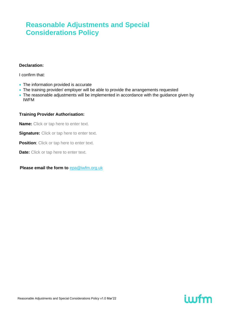#### **Declaration:**

I confirm that:

- The information provided is accurate
- The training provider/ employer will be able to provide the arrangements requested
- The reasonable adjustments will be implemented in accordance with the guidance given by IWFM

#### **Training Provider Authorisation:**

**Name:** Click or tap here to enter text.

**Signature:** Click or tap here to enter text.

**Position:** Click or tap here to enter text.

**Date:** Click or tap here to enter text.

#### **Please email the form to** [epa@iwfm.org.uk](mailto:epa@iwfm.org.uk)

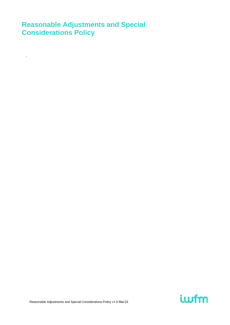.

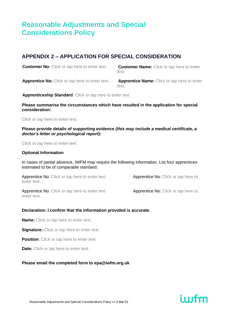## **APPENDIX 2 – APPLICATION FOR SPECIAL CONSIDERATION**

**Customer No:** Click or tap here to enter text. **Customer Name:** Click or tap here to enter

text.

**Apprentice No:** Click or tap here to enter text. **Apprentice Name:** Click or tap here to enter

text.

**Apprenticeship Standard**: Click or tap here to enter text.

#### **Please summarise the circumstances which have resulted in the application for special consideration:**

Click or tap here to enter text.

#### **Please provide details of supporting evidence** *(this may include a medical certificate, a doctor's letter or psychological report)***:**

Click or tap here to enter text.

#### **Optional Information**

In cases of partial absence, IWFM may require the following information. List four apprentices estimated to be of comparable standard:

| <b>Apprentice No:</b> Click or tap here to enter text.<br>enter text. | Apprentice No: Click or tap here to |
|-----------------------------------------------------------------------|-------------------------------------|
| <b>Apprentice No:</b> Click or tap here to enter text.<br>enter text. | Apprentice No: Click or tap here to |

#### **Declaration: I confirm that the information provided is accurate.**

**Name:** Click or tap here to enter text.

**Signature:** Click or tap here to enter text.

**Position:** Click or tap here to enter text.

**Date:** Click or tap here to enter text.

#### **Please email the completed form to [epa@iwfm.org.uk](mailto:epa@iwfm.org.uk)**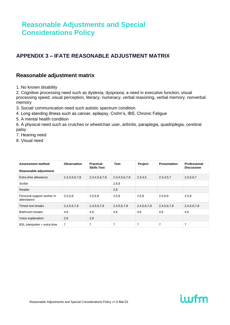## **APPENDIX 3 – IFATE REASONABLE ADJUSTMENT MATRIX**

### **Reasonable adjustment matrix**

1. No known disability

2. Cognitive processing need such as dyslexia, dyspraxia; a need in executive function, visual processing speed, visual perception, literacy, numeracy, verbal reasoning, verbal memory, nonverbal memory

3. Social/ communication need such autistic spectrum condition

4. Long standing illness such as cancer, epilepsy, Crohn's, IBS, Chronic Fatigue

5. A mental health condition

6. A physical need such as crutches or wheelchair user, arthritis, paraplegia, quadriplegia, cerebral palsy

- 7. Hearing need
- 8. Visual need

| <b>Assessment method</b>                 | <b>Observation</b> | <b>Practical</b><br><b>Skills Test</b> | <b>Test</b>         | Project     | <b>Presentation</b> | Professional<br><b>Discussion</b> |
|------------------------------------------|--------------------|----------------------------------------|---------------------|-------------|---------------------|-----------------------------------|
| Reasonable adjustment                    |                    |                                        |                     |             |                     |                                   |
| Extra time allowance                     | 2,3,4,5,6,7,8      | 2,3,4,5,6,7,8                          | 2, 3, 4, 5, 6, 7, 8 | 2,3,4,5     | 2,3,4,5,7           | 2, 3, 5, 6, 7                     |
| Scribe                                   |                    |                                        | 2,6,8               |             |                     |                                   |
| Reader                                   |                    |                                        | 2,8                 |             |                     |                                   |
| Personal support worker in<br>attendance | 2,5,6,8            | 2,5,6,8                                | 2,5,8               | 2,5,8       | 2,5,6,8             | 2,5,8                             |
| Timed rest breaks                        | 2,4,5,6,7,8        | 2,4,5,6,7,8                            | 2,4,5,6,7,8         | 2,4,5,6,7,8 | 2,4,5,6,7,8         | 2,4,5,6,7,8                       |
| Bathroom breaks                          | 4,6                | 4,6                                    | 4,6                 | 4,6         | 4,6                 | 4,6                               |
| Voice explanation                        | 2,8                | 2,8                                    |                     |             |                     |                                   |
| BSL interpreter + extra time             | $\overline{7}$     | 7                                      | 7                   | 7           | $\overline{7}$      | 7                                 |

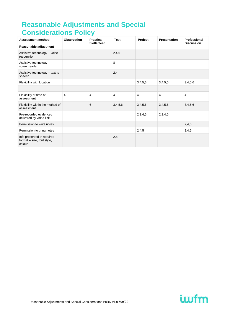| <b>Assessment method</b><br>Reasonable adjustment                  | Observation | <b>Practical</b><br><b>Skills Test</b> | <b>Test</b> | Project | <b>Presentation</b> | Professional<br><b>Discussion</b> |
|--------------------------------------------------------------------|-------------|----------------------------------------|-------------|---------|---------------------|-----------------------------------|
| Assistive technology - voice<br>recognition                        |             |                                        | 2,4,6       |         |                     |                                   |
| Assistive technology -<br>screenreader                             |             |                                        | 8           |         |                     |                                   |
| Assistive technology - text to<br>speech                           |             |                                        | 2,4         |         |                     |                                   |
| Flexibility with location                                          |             |                                        |             | 3,4,5,6 | 3,4,5,6             | 3,4,5,6                           |
|                                                                    |             |                                        |             |         |                     |                                   |
| Flexibility of time of<br>assessment                               | 4           | 4                                      | 4           | 4       | $\overline{4}$      | $\overline{4}$                    |
| Flexibility within the method of<br>assessment                     |             | 6                                      | 3,4,5,6     | 3,4,5,6 | 3,4,5,6             | 3,4,5,6                           |
| Pre-recorded evidence /<br>delivered by video link                 |             |                                        |             | 2,3,4,5 | 2,3,4,5             |                                   |
| Permission to write notes                                          |             |                                        |             |         |                     | 2,4,5                             |
| Permission to bring notes                                          |             |                                        |             | 2,4,5   |                     | 2,4,5                             |
| Info presented in required<br>format – size, font style,<br>colour |             |                                        | 2,8         |         |                     |                                   |